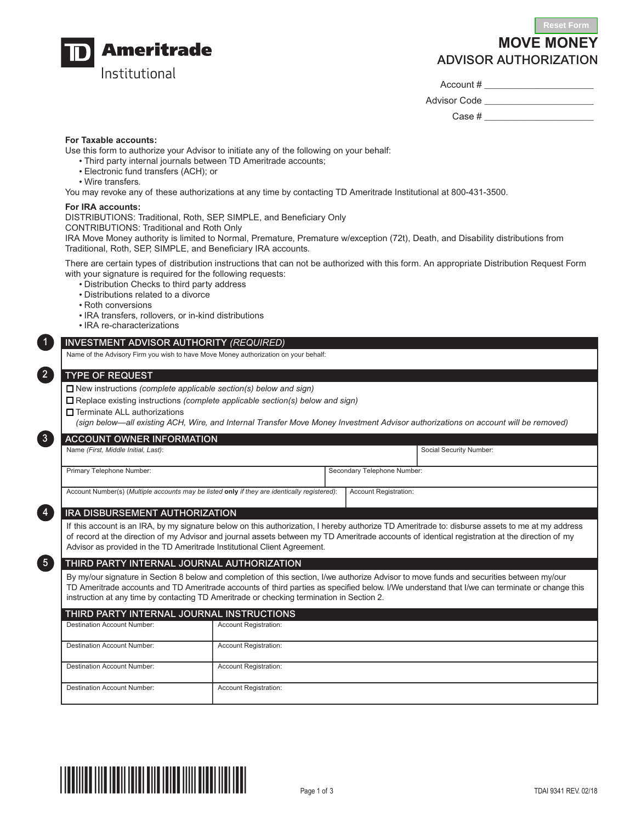

# **MOVE MONEY** ADVISOR AUTHORIZATION

Account # \_\_\_\_\_\_\_\_\_\_\_\_\_\_\_\_\_\_\_\_\_

Advisor Code **Lating** 

Case  $\#$ 

# **For Taxable accounts:**

Use this form to authorize your Advisor to initiate any of the following on your behalf:

- Third party internal journals between TD Ameritrade accounts;
- Electronic fund transfers (ACH); or
- Wire transfers.

You may revoke any of these authorizations at any time by contacting TD Ameritrade Institutional at 800-431-3500.

## **For IRA accounts:**

DISTRIBUTIONS: Traditional, Roth, SEP, SIMPLE, and Beneficiary Only

CONTRIBUTIONS: Traditional and Roth Only

IRA Move Money authority is limited to Normal, Premature, Premature w/exception (72t), Death, and Disability distributions from Traditional, Roth, SEP, SIMPLE, and Beneficiary IRA accounts.

There are certain types of distribution instructions that can not be authorized with this form. An appropriate Distribution Request Form with your signature is required for the following requests:

- Distribution Checks to third party address
- Distributions related to a divorce
- Roth conversions
- IRA transfers, rollovers, or in-kind distributions
- IRA re-characterizations

# INVESTMENT ADVISOR AUTHORITY *(REQUIRED)*

Name of the Advisory Firm you wish to have Move Money authorization on your behalf:

#### TYPE OF REQUEST

1

2

3

34

35

□ New instructions *(complete applicable section(s) below and sign)* 

N Replace existing instructions *(complete applicable section(s) below and sign)*

□ Terminate ALL authorizations

*(sign below—all existing ACH, Wire, and Internal Transfer Move Money Investment Advisor authorizations on account will be removed)*

| LACCOUNT OWNER INFORMATION                                                                   |                             |                         |  |  |  |  |
|----------------------------------------------------------------------------------------------|-----------------------------|-------------------------|--|--|--|--|
| Name (First, Middle Initial, Last):                                                          |                             | Social Security Number: |  |  |  |  |
|                                                                                              |                             |                         |  |  |  |  |
| Primary Telephone Number:                                                                    | Secondary Telephone Number: |                         |  |  |  |  |
|                                                                                              |                             |                         |  |  |  |  |
| Account Number(s) (Multiple accounts may be listed only if they are identically registered): |                             | Account Registration:   |  |  |  |  |

## IRA DISBURSEMENT AUTHORIZATION

If this account is an IRA, by my signature below on this authorization, I hereby authorize TD Ameritrade to: disburse assets to me at my address of record at the direction of my Advisor and journal assets between my TD Ameritrade accounts of identical registration at the direction of my Advisor as provided in the TD Ameritrade Institutional Client Agreement.

# THIRD PARTY INTERNAL JOURNAL AUTHORIZATION

By my/our signature in Section 8 below and completion of this section, I/we authorize Advisor to move funds and securities between my/our TD Ameritrade accounts and TD Ameritrade accounts of third parties as specified below. I/We understand that I/we can terminate or change this instruction at any time by contacting TD Ameritrade or checking termination in Section 2.

## THIRD PARTY INTERNAL JOURNAL INSTRUCTIONS

| <b>Destination Account Number:</b> | <b>Account Registration:</b> |
|------------------------------------|------------------------------|
| <b>Destination Account Number:</b> | <b>Account Registration:</b> |
| <b>Destination Account Number:</b> | <b>Account Registration:</b> |
| <b>Destination Account Number:</b> | <b>Account Registration:</b> |

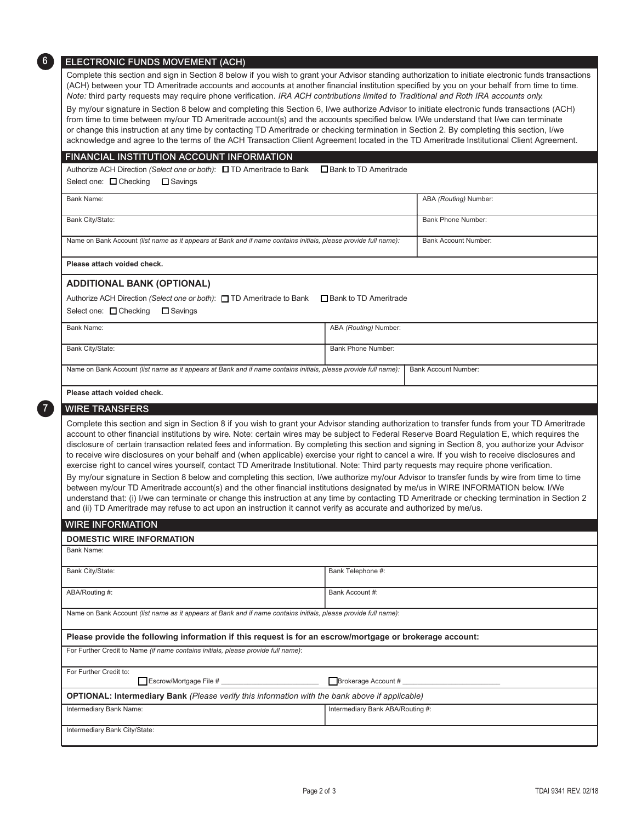| ELECTRONIC FUNDS MOVEMENT (ACH)                                                                                                                                                                                                                                                                                                                                                                                                                                                                                                                                                                                                                                                                                                                                                                                                                                                                                                                                                                                                                                                                                                                                                                                                                                                                               |                             |  |  |  |  |                                                                                                                 |  |                             |
|---------------------------------------------------------------------------------------------------------------------------------------------------------------------------------------------------------------------------------------------------------------------------------------------------------------------------------------------------------------------------------------------------------------------------------------------------------------------------------------------------------------------------------------------------------------------------------------------------------------------------------------------------------------------------------------------------------------------------------------------------------------------------------------------------------------------------------------------------------------------------------------------------------------------------------------------------------------------------------------------------------------------------------------------------------------------------------------------------------------------------------------------------------------------------------------------------------------------------------------------------------------------------------------------------------------|-----------------------------|--|--|--|--|-----------------------------------------------------------------------------------------------------------------|--|-----------------------------|
| Complete this section and sign in Section 8 below if you wish to grant your Advisor standing authorization to initiate electronic funds transactions<br>(ACH) between your TD Ameritrade accounts and accounts at another financial institution specified by you on your behalf from time to time.<br>Note: third party requests may require phone verification. IRA ACH contributions limited to Traditional and Roth IRA accounts only.<br>By my/our signature in Section 8 below and completing this Section 6, I/we authorize Advisor to initiate electronic funds transactions (ACH)<br>from time to time between my/our TD Ameritrade account(s) and the accounts specified below. I/We understand that I/we can terminate<br>or change this instruction at any time by contacting TD Ameritrade or checking termination in Section 2. By completing this section, I/we<br>acknowledge and agree to the terms of the ACH Transaction Client Agreement located in the TD Ameritrade Institutional Client Agreement.<br>FINANCIAL INSTITUTION ACCOUNT INFORMATION<br>Authorize ACH Direction (Select one or both): □ TD Ameritrade to Bank<br>Bank to TD Ameritrade<br>Select one: $\Box$ Checking<br>$\Box$ Savings                                                                                      |                             |  |  |  |  |                                                                                                                 |  |                             |
|                                                                                                                                                                                                                                                                                                                                                                                                                                                                                                                                                                                                                                                                                                                                                                                                                                                                                                                                                                                                                                                                                                                                                                                                                                                                                                               |                             |  |  |  |  | <b>Bank Name:</b>                                                                                               |  | ABA (Routing) Number:       |
|                                                                                                                                                                                                                                                                                                                                                                                                                                                                                                                                                                                                                                                                                                                                                                                                                                                                                                                                                                                                                                                                                                                                                                                                                                                                                                               |                             |  |  |  |  | Bank City/State:                                                                                                |  | Bank Phone Number:          |
|                                                                                                                                                                                                                                                                                                                                                                                                                                                                                                                                                                                                                                                                                                                                                                                                                                                                                                                                                                                                                                                                                                                                                                                                                                                                                                               |                             |  |  |  |  | Name on Bank Account (list name as it appears at Bank and if name contains initials, please provide full name): |  | <b>Bank Account Number:</b> |
|                                                                                                                                                                                                                                                                                                                                                                                                                                                                                                                                                                                                                                                                                                                                                                                                                                                                                                                                                                                                                                                                                                                                                                                                                                                                                                               |                             |  |  |  |  | Please attach voided check.                                                                                     |  |                             |
| <b>ADDITIONAL BANK (OPTIONAL)</b>                                                                                                                                                                                                                                                                                                                                                                                                                                                                                                                                                                                                                                                                                                                                                                                                                                                                                                                                                                                                                                                                                                                                                                                                                                                                             |                             |  |  |  |  |                                                                                                                 |  |                             |
| Authorize ACH Direction (Select one or both): □ TD Ameritrade to Bank □ Bank to TD Ameritrade                                                                                                                                                                                                                                                                                                                                                                                                                                                                                                                                                                                                                                                                                                                                                                                                                                                                                                                                                                                                                                                                                                                                                                                                                 |                             |  |  |  |  |                                                                                                                 |  |                             |
| Select one: □ Checking<br>$\Box$ Savings                                                                                                                                                                                                                                                                                                                                                                                                                                                                                                                                                                                                                                                                                                                                                                                                                                                                                                                                                                                                                                                                                                                                                                                                                                                                      |                             |  |  |  |  |                                                                                                                 |  |                             |
| <b>Bank Name:</b>                                                                                                                                                                                                                                                                                                                                                                                                                                                                                                                                                                                                                                                                                                                                                                                                                                                                                                                                                                                                                                                                                                                                                                                                                                                                                             | ABA (Routing) Number:       |  |  |  |  |                                                                                                                 |  |                             |
| Bank City/State:                                                                                                                                                                                                                                                                                                                                                                                                                                                                                                                                                                                                                                                                                                                                                                                                                                                                                                                                                                                                                                                                                                                                                                                                                                                                                              | <b>Bank Phone Number:</b>   |  |  |  |  |                                                                                                                 |  |                             |
| Name on Bank Account (list name as it appears at Bank and if name contains initials, please provide full name):                                                                                                                                                                                                                                                                                                                                                                                                                                                                                                                                                                                                                                                                                                                                                                                                                                                                                                                                                                                                                                                                                                                                                                                               | <b>Bank Account Number:</b> |  |  |  |  |                                                                                                                 |  |                             |
|                                                                                                                                                                                                                                                                                                                                                                                                                                                                                                                                                                                                                                                                                                                                                                                                                                                                                                                                                                                                                                                                                                                                                                                                                                                                                                               |                             |  |  |  |  |                                                                                                                 |  |                             |
|                                                                                                                                                                                                                                                                                                                                                                                                                                                                                                                                                                                                                                                                                                                                                                                                                                                                                                                                                                                                                                                                                                                                                                                                                                                                                                               |                             |  |  |  |  |                                                                                                                 |  |                             |
| Please attach voided check.<br><b>WIRE TRANSFERS</b>                                                                                                                                                                                                                                                                                                                                                                                                                                                                                                                                                                                                                                                                                                                                                                                                                                                                                                                                                                                                                                                                                                                                                                                                                                                          |                             |  |  |  |  |                                                                                                                 |  |                             |
| Complete this section and sign in Section 8 if you wish to grant your Advisor standing authorization to transfer funds from your TD Ameritrade<br>account to other financial institutions by wire. Note: certain wires may be subject to Federal Reserve Board Regulation E, which requires the<br>disclosure of certain transaction related fees and information. By completing this section and signing in Section 8, you authorize your Advisor<br>to receive wire disclosures on your behalf and (when applicable) exercise your right to cancel a wire. If you wish to receive disclosures and<br>exercise right to cancel wires yourself, contact TD Ameritrade Institutional. Note: Third party requests may require phone verification.<br>By my/our signature in Section 8 below and completing this section, I/we authorize my/our Advisor to transfer funds by wire from time to time<br>between my/our TD Ameritrade account(s) and the other financial institutions designated by me/us in WIRE INFORMATION below. I/We<br>understand that: (i) I/we can terminate or change this instruction at any time by contacting TD Ameritrade or checking termination in Section 2<br>and (ii) TD Ameritrade may refuse to act upon an instruction it cannot verify as accurate and authorized by me/us. |                             |  |  |  |  |                                                                                                                 |  |                             |
|                                                                                                                                                                                                                                                                                                                                                                                                                                                                                                                                                                                                                                                                                                                                                                                                                                                                                                                                                                                                                                                                                                                                                                                                                                                                                                               |                             |  |  |  |  |                                                                                                                 |  |                             |
| <b>WIRE INFORMATION</b>                                                                                                                                                                                                                                                                                                                                                                                                                                                                                                                                                                                                                                                                                                                                                                                                                                                                                                                                                                                                                                                                                                                                                                                                                                                                                       |                             |  |  |  |  |                                                                                                                 |  |                             |
| <b>DOMESTIC WIRE INFORMATION</b><br>Bank Name:                                                                                                                                                                                                                                                                                                                                                                                                                                                                                                                                                                                                                                                                                                                                                                                                                                                                                                                                                                                                                                                                                                                                                                                                                                                                |                             |  |  |  |  |                                                                                                                 |  |                             |
|                                                                                                                                                                                                                                                                                                                                                                                                                                                                                                                                                                                                                                                                                                                                                                                                                                                                                                                                                                                                                                                                                                                                                                                                                                                                                                               |                             |  |  |  |  |                                                                                                                 |  |                             |
| Bank City/State:                                                                                                                                                                                                                                                                                                                                                                                                                                                                                                                                                                                                                                                                                                                                                                                                                                                                                                                                                                                                                                                                                                                                                                                                                                                                                              | Bank Telephone #:           |  |  |  |  |                                                                                                                 |  |                             |
| ABA/Routing #:                                                                                                                                                                                                                                                                                                                                                                                                                                                                                                                                                                                                                                                                                                                                                                                                                                                                                                                                                                                                                                                                                                                                                                                                                                                                                                | Bank Account #:             |  |  |  |  |                                                                                                                 |  |                             |
| Name on Bank Account (list name as it appears at Bank and if name contains initials, please provide full name):                                                                                                                                                                                                                                                                                                                                                                                                                                                                                                                                                                                                                                                                                                                                                                                                                                                                                                                                                                                                                                                                                                                                                                                               |                             |  |  |  |  |                                                                                                                 |  |                             |
| Please provide the following information if this request is for an escrow/mortgage or brokerage account:                                                                                                                                                                                                                                                                                                                                                                                                                                                                                                                                                                                                                                                                                                                                                                                                                                                                                                                                                                                                                                                                                                                                                                                                      |                             |  |  |  |  |                                                                                                                 |  |                             |
| For Further Credit to Name (if name contains initials, please provide full name):                                                                                                                                                                                                                                                                                                                                                                                                                                                                                                                                                                                                                                                                                                                                                                                                                                                                                                                                                                                                                                                                                                                                                                                                                             |                             |  |  |  |  |                                                                                                                 |  |                             |
| For Further Credit to:                                                                                                                                                                                                                                                                                                                                                                                                                                                                                                                                                                                                                                                                                                                                                                                                                                                                                                                                                                                                                                                                                                                                                                                                                                                                                        |                             |  |  |  |  |                                                                                                                 |  |                             |
| OPTIONAL: Intermediary Bank (Please verify this information with the bank above if applicable)                                                                                                                                                                                                                                                                                                                                                                                                                                                                                                                                                                                                                                                                                                                                                                                                                                                                                                                                                                                                                                                                                                                                                                                                                | Brokerage Account #         |  |  |  |  |                                                                                                                 |  |                             |